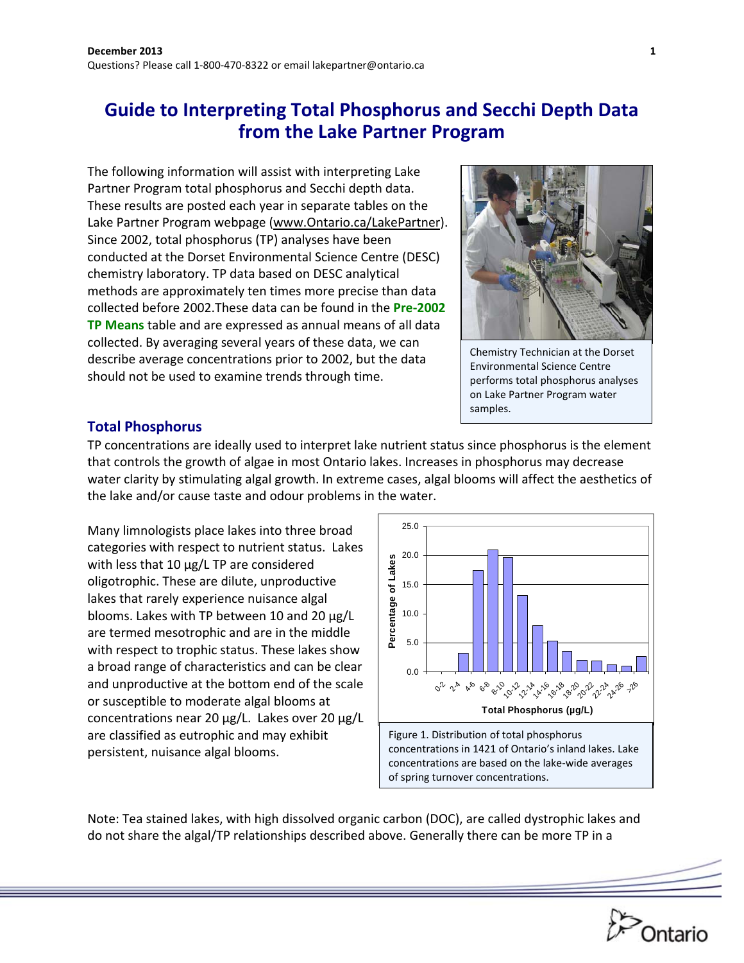# **Guide to Interpreting Total Phosphorus and Secchi Depth Data from the Lake Partner Program**

The following information will assist with interpreting Lake Partner Program total phosphorus and Secchi depth data. These results are posted each year in separate tables on the Lake Partner Program webpage (www.Ontario.ca/LakePartner). Since 2002, total phosphorus (TP) analyses have been conducted at the Dorset Environmental Science Centre (DESC) chemistry laboratory. TP data based on DESC analytical methods are approximately ten times more precise than data collected before 2002.These data can be found in the **Pre‐2002 TP Means** table and are expressed as annual means of all data collected. By averaging several years of these data, we can describe average concentrations prior to 2002, but the data should not be used to examine trends through time.



Chemistry Technician at the Dorset Environmental Science Centre performs total phosphorus analyses on Lake Partner Program water samples.

#### **Total Phosphorus**

TP concentrations are ideally used to interpret lake nutrient status since phosphorus is the element that controls the growth of algae in most Ontario lakes. Increases in phosphorus may decrease water clarity by stimulating algal growth. In extreme cases, algal blooms will affect the aesthetics of the lake and/or cause taste and odour problems in the water.

Many limnologists place lakes into three broad categories with respect to nutrient status. Lakes with less that 10 µg/L TP are considered oligotrophic. These are dilute, unproductive lakes that rarely experience nuisance algal blooms. Lakes with TP between 10 and 20 µg/L are termed mesotrophic and are in the middle with respect to trophic status. These lakes show a broad range of characteristics and can be clear and unproductive at the bottom end of the scale or susceptible to moderate algal blooms at concentrations near 20 µg/L. Lakes over 20 µg/L are classified as eutrophic and may exhibit persistent, nuisance algal blooms.



Note: Tea stained lakes, with high dissolved organic carbon (DOC), are called dystrophic lakes and do not share the algal/TP relationships described above. Generally there can be more TP in a

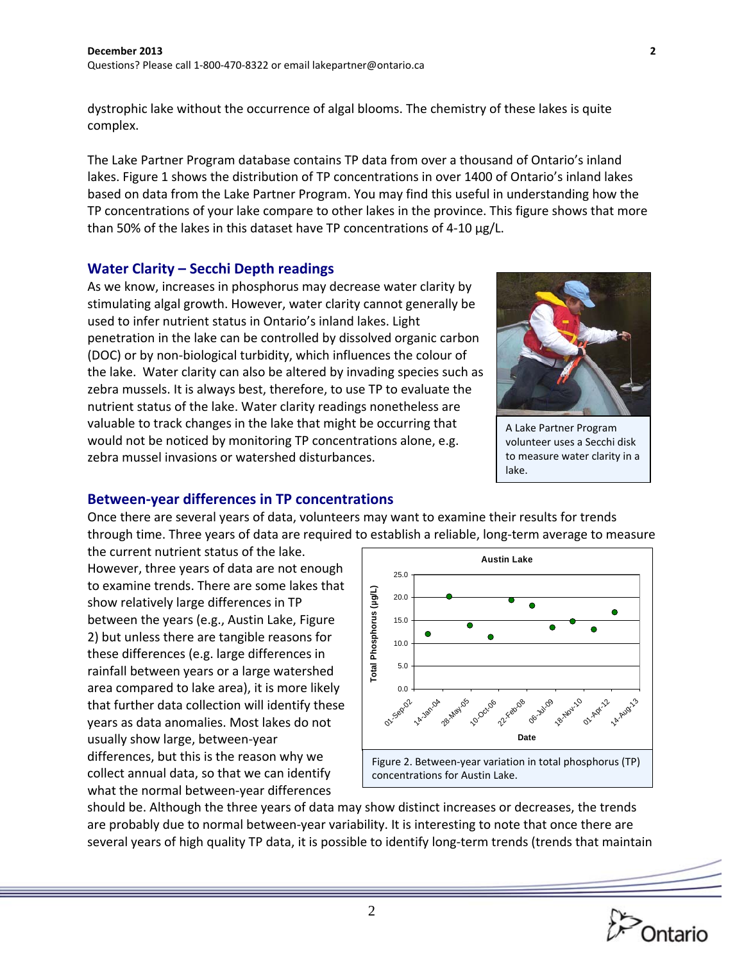dystrophic lake without the occurrence of algal blooms. The chemistry of these lakes is quite complex.

The Lake Partner Program database contains TP data from over a thousand of Ontario's inland lakes. Figure 1 shows the distribution of TP concentrations in over 1400 of Ontario's inland lakes based on data from the Lake Partner Program. You may find this useful in understanding how the TP concentrations of your lake compare to other lakes in the province. This figure shows that more than 50% of the lakes in this dataset have TP concentrations of 4‐10 µg/L.

### **Water Clarity – Secchi Depth readings**

As we know, increases in phosphorus may decrease water clarity by stimulating algal growth. However, water clarity cannot generally be used to infer nutrient status in Ontario's inland lakes. Light penetration in the lake can be controlled by dissolved organic carbon (DOC) or by non‐biological turbidity, which influences the colour of the lake. Water clarity can also be altered by invading species such as zebra mussels. It is always best, therefore, to use TP to evaluate the nutrient status of the lake. Water clarity readings nonetheless are valuable to track changes in the lake that might be occurring that would not be noticed by monitoring TP concentrations alone, e.g. zebra mussel invasions or watershed disturbances.



A Lake Partner Program volunteer uses a Secchi disk to measure water clarity in a lake.

#### **Between‐year differences in TP concentrations**

Once there are several years of data, volunteers may want to examine their results for trends through time. Three years of data are required to establish a reliable, long-term average to measure

the current nutrient status of the lake. However, three years of data are not enough to examine trends. There are some lakes that show relatively large differences in TP between the years (e.g., Austin Lake, Figure 2) but unless there are tangible reasons for these differences (e.g. large differences in rainfall between years or a large watershed area compared to lake area), it is more likely that further data collection will identify these years as data anomalies. Most lakes do not usually show large, between‐year differences, but this is the reason why we collect annual data, so that we can identify what the normal between‐year differences



should be. Although the three years of data may show distinct increases or decreases, the trends are probably due to normal between‐year variability. It is interesting to note that once there are several years of high quality TP data, it is possible to identify long-term trends (trends that maintain

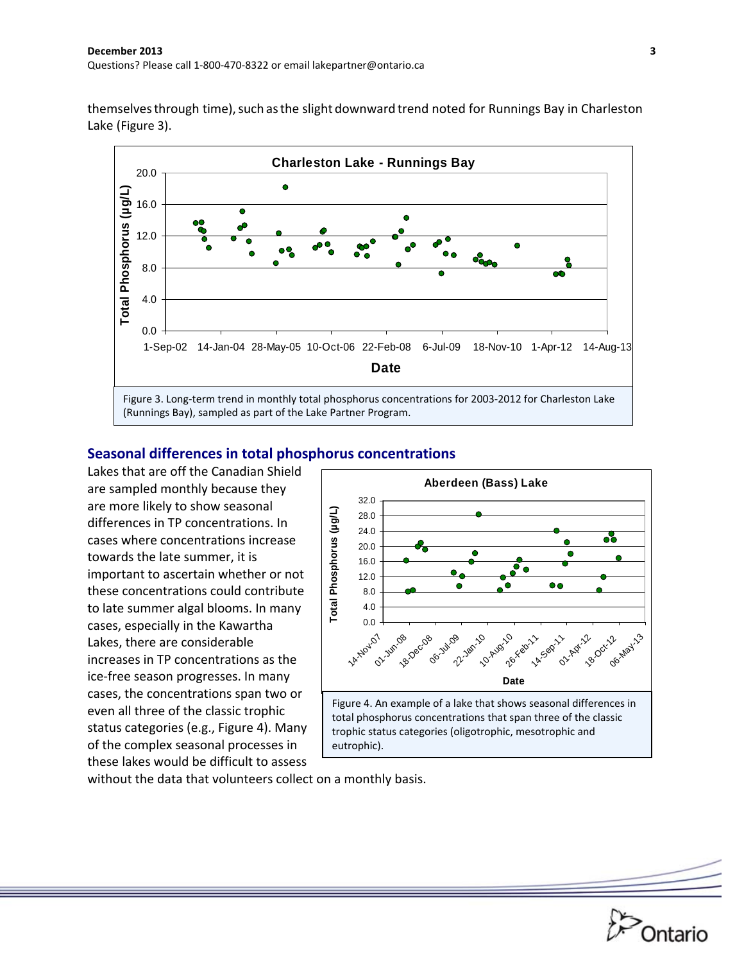themselves through time), such as the slight downward trend noted for Runnings Bay in Charleston Lake (Figure 3).



#### **Seasonal differences in total phosphorus concentrations**

Lakes that are off the Canadian Shield are sampled monthly because they are more likely to show seasonal differences in TP concentrations. In cases where concentrations increase towards the late summer, it is important to ascertain whether or not these concentrations could contribute to late summer algal blooms. In many cases, especially in the Kawartha Lakes, there are considerable increases in TP concentrations as the ice‐free season progresses. In many cases, the concentrations span two or even all three of the classic trophic status categories (e.g., Figure 4). Many of the complex seasonal processes in these lakes would be difficult to assess



without the data that volunteers collect on a monthly basis.